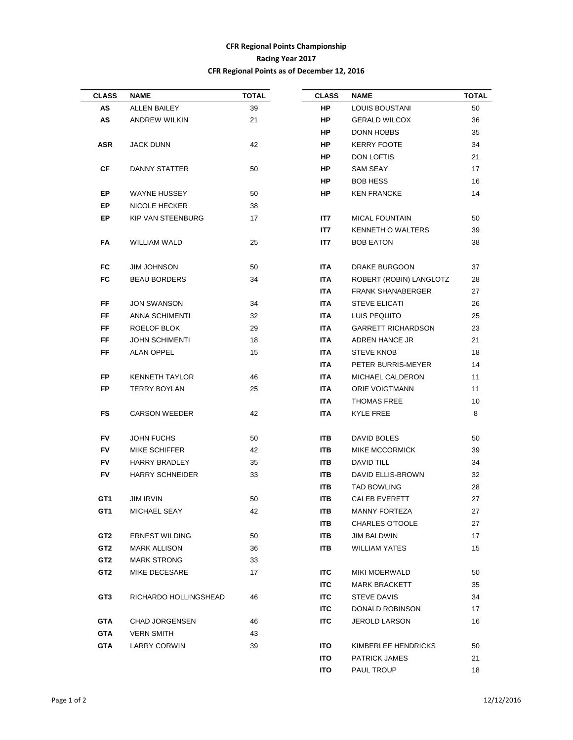## **CFR Regional Points Championship Racing Year 2017 CFR Regional Points as of December 12, 2016**

| <b>CLASS</b>    | <b>NAME</b>              | <b>TOTAL</b>                     | <b>CLASS</b> | <b>NAME</b>               | TOTAL |
|-----------------|--------------------------|----------------------------------|--------------|---------------------------|-------|
| AS              | ALLEN BAILEY             | 39                               | <b>HP</b>    | LOUIS BOUSTANI            | 50    |
| AS              | ANDREW WILKIN            | 21                               | HP           | <b>GERALD WILCOX</b>      | 36    |
|                 |                          |                                  | HP           | <b>DONN HOBBS</b>         | 35    |
| <b>ASR</b>      | JACK DUNN                | 42                               | HP.          | <b>KERRY FOOTE</b>        | 34    |
|                 |                          |                                  | HP           | DON LOFTIS                | 21    |
| СF              | DANNY STATTER            | 50                               | HP.          | SAM SEAY                  | 17    |
|                 |                          |                                  | HP.          | <b>BOB HESS</b>           | 16    |
| EP              | WAYNE HUSSEY             | 50                               | HP           | <b>KEN FRANCKE</b>        | 14    |
| EP              | NICOLE HECKER            | 38                               |              |                           |       |
| EP              | <b>KIP VAN STEENBURG</b> | 17                               | IT7          | <b>MICAL FOUNTAIN</b>     | 50    |
|                 |                          |                                  | IT7          | <b>KENNETH O WALTERS</b>  | 39    |
| FA              | WILLIAM WALD             | 25                               | IT7          | <b>BOB EATON</b>          | 38    |
| FC              | <b>JIM JOHNSON</b>       | 50                               | ITA I        | DRAKE BURGOON             | 37    |
| FC              | <b>BEAU BORDERS</b>      | 34                               | ITA          | ROBERT (ROBIN) LANGLOTZ   | 28    |
|                 |                          |                                  | ITA          | <b>FRANK SHANABERGER</b>  | 27    |
| FF              | <b>JON SWANSON</b>       | 34                               | <b>ITA</b>   | <b>STEVE ELICATI</b>      | 26    |
| FF              | ANNA SCHIMENTI           | 32                               | ITA.         | LUIS PEQUITO              | 25    |
| FF              | <b>ROELOF BLOK</b>       | 29                               | ITA          | <b>GARRETT RICHARDSON</b> | 23    |
| FF              | <b>JOHN SCHIMENTI</b>    | 18                               | ITA          | ADREN HANCE JR            | 21    |
|                 |                          |                                  |              |                           |       |
| FF.             | ALAN OPPEL               | 15                               | ITA.         | STEVE KNOB                | 18    |
|                 |                          |                                  | ITA.         | PETER BURRIS-MEYER        | 14    |
| FP.             | KENNETH TAYLOR           | 46                               | <b>ITA</b>   | MICHAEL CALDERON          | 11    |
| <b>FP</b>       | <b>TERRY BOYLAN</b>      | 25                               | ITA          | ORIE VOIGTMANN            | 11    |
|                 |                          |                                  | ITA          | <b>THOMAS FREE</b>        | 10    |
| FS              | <b>CARSON WEEDER</b>     | 42                               | <b>ITA</b>   | KYLE FREE                 | 8     |
| FV              | <b>JOHN FUCHS</b>        | 50                               | ITB.         | DAVID BOLES               | 50    |
| FV              | MIKE SCHIFFER            | 42                               | ITB.         | MIKE MCCORMICK            | 39    |
| FV              | HARRY BRADLEY            | 35                               | <b>ITB</b>   | DAVID TILL                | 34    |
| FV              | <b>HARRY SCHNEIDER</b>   | 33                               | ITB.         | DAVID ELLIS-BROWN         | 32    |
|                 |                          |                                  | ITB.         | <b>TAD BOWLING</b>        | 28    |
| GT1             | JIM IRVIN                | 50                               | ITB.         | CALEB EVERETT             | 27    |
| GT <sub>1</sub> | MICHAEL SEAY             | 42                               | ITB          | <b>MANNY FORTEZA</b>      | 27    |
|                 |                          |                                  | ITB.         | <b>CHARLES O'TOOLE</b>    | 27    |
| GT2             | <b>ERNEST WILDING</b>    | 50                               | ITB.         | JIM BALDWIN               | 17    |
| GT <sub>2</sub> | <b>MARK ALLISON</b>      | 36                               | ITB.         | <b>WILLIAM YATES</b>      | 15    |
| GT2             | <b>MARK STRONG</b>       | 33                               |              |                           |       |
| GT <sub>2</sub> | MIKE DECESARE            | 17                               | ITC          | <b>MIKI MOERWALD</b>      | 50    |
|                 |                          |                                  | <b>ITC</b>   | <b>MARK BRACKETT</b>      | 35    |
| GT3             | RICHARDO HOLLINGSHEAD    | 46                               | <b>ITC</b>   | STEVE DAVIS               | 34    |
|                 |                          |                                  | <b>ITC</b>   | DONALD ROBINSON           | 17    |
|                 |                          |                                  |              |                           | 16    |
| <b>GTA</b>      | <b>CHAD JORGENSEN</b>    | 46                               | ITC          | JEROLD LARSON             |       |
| <b>GTA</b>      | <b>VERN SMITH</b>        | 43                               |              |                           |       |
| <b>GTA</b>      | <b>LARRY CORWIN</b>      | 39<br>ITO<br>KIMBERLEE HENDRICKS |              | 50                        |       |
|                 |                          |                                  | <b>ITO</b>   | <b>PATRICK JAMES</b>      | 21    |
|                 |                          |                                  | <b>ITO</b>   | PAUL TROUP                | 18    |